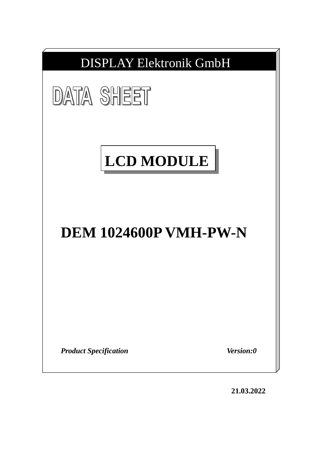

**21.03.2022**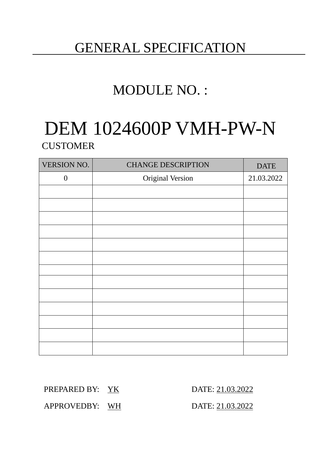# GENERAL SPECIFICATION

# MODULE NO. :

# DEM 1024600P VMH-PW-N **CUSTOMER**

| VERSION NO.      | <b>CHANGE DESCRIPTION</b> | <b>DATE</b> |
|------------------|---------------------------|-------------|
| $\boldsymbol{0}$ | Original Version          | 21.03.2022  |
|                  |                           |             |
|                  |                           |             |
|                  |                           |             |
|                  |                           |             |
|                  |                           |             |
|                  |                           |             |
|                  |                           |             |
|                  |                           |             |
|                  |                           |             |
|                  |                           |             |
|                  |                           |             |
|                  |                           |             |
|                  |                           |             |

PREPARED BY: YK DATE: 21.03.2022

APPROVEDBY: WH DATE: 21.03.2022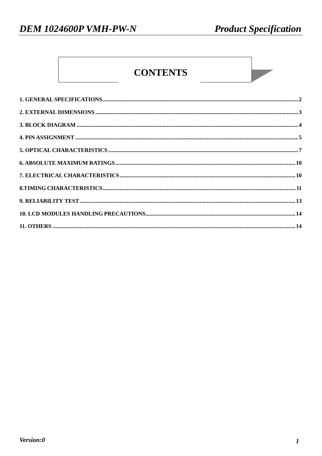## **CONTENTS**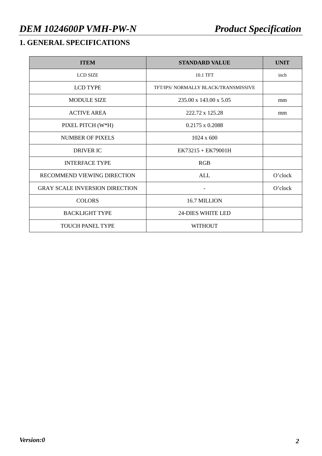## **1. GENERAL SPECIFICATIONS**

| <b>ITEM</b>                           | <b>STANDARD VALUE</b>                | <b>UNIT</b> |
|---------------------------------------|--------------------------------------|-------------|
| <b>LCD SIZE</b>                       | 10.1 TFT                             | inch        |
| <b>LCD TYPE</b>                       | TFT/IPS/ NORMALLY BLACK/TRANSMISSIVE |             |
| <b>MODULE SIZE</b>                    | $235.00 \times 143.00 \times 5.05$   | mm          |
| <b>ACTIVE AREA</b>                    | 222.72 x 125.28                      | mm          |
| PIXEL PITCH (W*H)                     | $0.2175 \times 0.2088$               |             |
| NUMBER OF PIXELS                      | $1024 \times 600$                    |             |
| <b>DRIVER IC</b>                      | $EK73215 + EK79001H$                 |             |
| <b>INTERFACE TYPE</b>                 | RGB                                  |             |
| RECOMMEND VIEWING DIRECTION           | <b>ALL</b>                           | O'clock     |
| <b>GRAY SCALE INVERSION DIRECTION</b> |                                      | O'clock     |
| <b>COLORS</b>                         | 16.7 MILLION                         |             |
| <b>BACKLIGHT TYPE</b>                 | <b>24-DIES WHITE LED</b>             |             |
| <b>TOUCH PANEL TYPE</b>               | <b>WITHOUT</b>                       |             |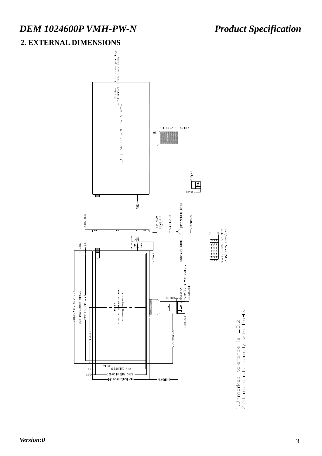#### **2. EXTERNAL DIMENSIONS**



1.Unmarked tolerance is ±0.2<br>2.All materials comply with RoHS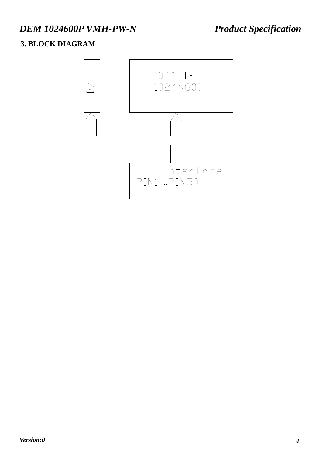#### **3. BLOCK DIAGRAM**

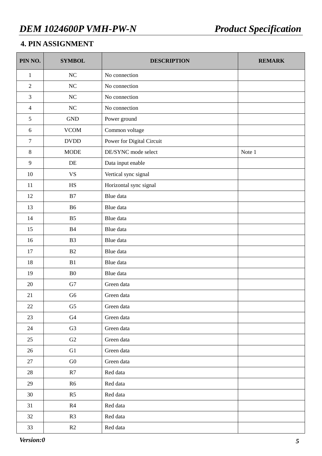#### **4. PIN ASSIGNMENT**

| PIN NO.          | <b>SYMBOL</b>        | <b>DESCRIPTION</b>        | <b>REMARK</b> |
|------------------|----------------------|---------------------------|---------------|
| $\mathbf{1}$     | NC                   | No connection             |               |
| $\overline{2}$   | NC                   | No connection             |               |
| $\overline{3}$   | $\rm NC$             | No connection             |               |
| $\overline{4}$   | NC                   | No connection             |               |
| 5                | $\operatorname{GND}$ | Power ground              |               |
| $6\,$            | <b>VCOM</b>          | Common voltage            |               |
| $\boldsymbol{7}$ | <b>DVDD</b>          | Power for Digital Circuit |               |
| $8\,$            | <b>MODE</b>          | DE/SYNC mode select       | Note 1        |
| 9                | DE                   | Data input enable         |               |
| 10               | <b>VS</b>            | Vertical sync signal      |               |
| 11               | <b>HS</b>            | Horizontal sync signal    |               |
| 12               | B7                   | Blue data                 |               |
| 13               | <b>B6</b>            | Blue data                 |               |
| 14               | B <sub>5</sub>       | Blue data                 |               |
| 15               | B4                   | Blue data                 |               |
| 16               | B <sub>3</sub>       | Blue data                 |               |
| 17               | B2                   | Blue data                 |               |
| 18               | B1                   | Blue data                 |               |
| 19               | B <sub>0</sub>       | Blue data                 |               |
| 20               | G7                   | Green data                |               |
| 21               | G <sub>6</sub>       | Green data                |               |
| 22               | G <sub>5</sub>       | Green data                |               |
| 23               | G4                   | Green data                |               |
| 24               | G <sub>3</sub>       | Green data                |               |
| 25               | G2                   | Green data                |               |
| 26               | G <sub>1</sub>       | Green data                |               |
| 27               | ${\rm G0}$           | Green data                |               |
| 28               | R7                   | Red data                  |               |
| 29               | R <sub>6</sub>       | Red data                  |               |
| 30               | R <sub>5</sub>       | Red data                  |               |
| 31               | R4                   | Red data                  |               |
| 32               | R3                   | Red data                  |               |
| 33               | R2                   | Red data                  |               |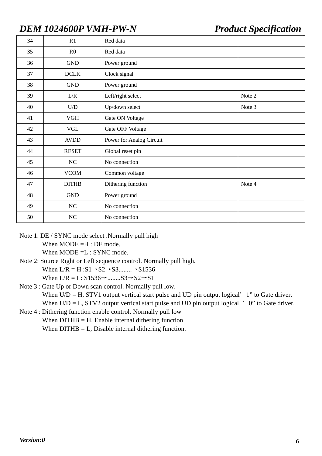| 34 | R1             | Red data                 |        |
|----|----------------|--------------------------|--------|
| 35 | R <sub>0</sub> | Red data                 |        |
| 36 | <b>GND</b>     | Power ground             |        |
| 37 | <b>DCLK</b>    | Clock signal             |        |
| 38 | <b>GND</b>     | Power ground             |        |
| 39 | L/R            | Left/right select        | Note 2 |
| 40 | U/D            | Up/down select           | Note 3 |
| 41 | <b>VGH</b>     | Gate ON Voltage          |        |
| 42 | <b>VGL</b>     | Gate OFF Voltage         |        |
| 43 | <b>AVDD</b>    | Power for Analog Circuit |        |
| 44 | <b>RESET</b>   | Global reset pin         |        |
| 45 | NC             | No connection            |        |
| 46 | <b>VCOM</b>    | Common voltage           |        |
| 47 | <b>DITHB</b>   | Dithering function       | Note 4 |
| 48 | <b>GND</b>     | Power ground             |        |
| 49 | $\rm NC$       | No connection            |        |
| 50 | NC             | No connection            |        |

Note 1: DE / SYNC mode select .Normally pull high

When MODE =H : DE mode.

When MODE = L: SYNC mode.

- Note 2: Source Right or Left sequence control. Normally pull high. When  $L/R = H : S1 \rightarrow S2 \rightarrow S3$ ........ $\rightarrow S1536$ When  $L/R = L: S1536 \rightarrow$ ......... $S3 \rightarrow S2 \rightarrow S1$
- Note 3 : Gate Up or Down scan control. Normally pull low. When  $U/D = H$ , STV1 output vertical start pulse and UD pin output logical  $\prime\prime$  1" to Gate driver. When  $U/D = L$ , STV2 output vertical start pulse and UD pin output logical "0" to Gate driver.
- Note 4 : Dithering function enable control. Normally pull low When  $DITHB = H$ , Enable internal dithering function When  $DITHB = L$ , Disable internal dithering function.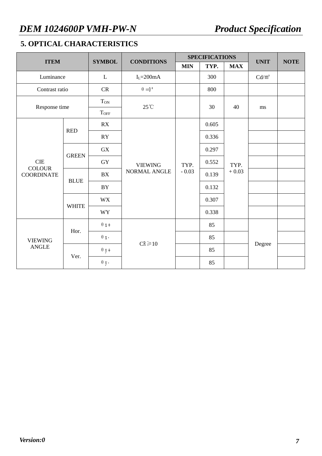### **5. OPTICAL CHARACTERISTICS**

| <b>ITEM</b>                        |              |             | <b>CONDITIONS</b><br><b>SYMBOL</b>    |                 | <b>SPECIFICATIONS</b> |                 |             | <b>NOTE</b> |
|------------------------------------|--------------|-------------|---------------------------------------|-----------------|-----------------------|-----------------|-------------|-------------|
|                                    |              |             |                                       | <b>MIN</b>      | TYP.                  | <b>MAX</b>      | <b>UNIT</b> |             |
| Luminance                          |              | L           | $I_L = 200mA$                         |                 | 300                   |                 | $Cd/m^2$    |             |
| Contrast ratio                     |              | <b>CR</b>   | $\theta = 0^{\circ}$                  |                 | 800                   |                 |             |             |
| Response time                      |              | <b>TON</b>  | $25^{\circ}$ C                        |                 | 30                    | 40              | ms          |             |
|                                    |              | <b>TOFF</b> |                                       |                 |                       |                 |             |             |
|                                    |              | RX          |                                       |                 | 0.605                 |                 |             |             |
|                                    | <b>RED</b>   | RY          |                                       | TYP.<br>$-0.03$ | 0.336                 | TYP.<br>$+0.03$ |             |             |
|                                    | <b>GREEN</b> | <b>GX</b>   | <b>VIEWING</b><br><b>NORMAL ANGLE</b> |                 | 0.297                 |                 |             |             |
| CIE                                |              | <b>GY</b>   |                                       |                 | 0.552                 |                 |             |             |
| <b>COLOUR</b><br><b>COORDINATE</b> |              | <b>BX</b>   |                                       |                 | 0.139                 |                 |             |             |
|                                    | <b>BLUE</b>  | <b>BY</b>   |                                       |                 | 0.132                 |                 |             |             |
|                                    |              | <b>WX</b>   |                                       |                 | 0.307                 |                 |             |             |
|                                    | <b>WHITE</b> | <b>WY</b>   |                                       |                 | 0.338                 |                 |             |             |
|                                    |              | $\theta$ x+ |                                       |                 | 85                    |                 |             |             |
| <b>VIEWING</b>                     | Hor.         | $\theta$ x- |                                       |                 | 85                    |                 |             |             |
| <b>ANGLE</b>                       |              | $\theta$ y+ | $CR \ge 10$                           |                 | 85                    |                 | Degree      |             |
|                                    | Ver.         | $\theta$ y- |                                       |                 | 85                    |                 |             |             |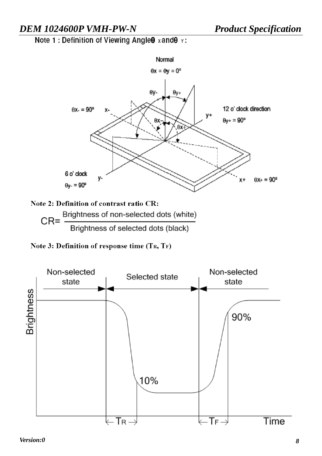Note 1 : Definition of Viewing Angle 0 x and 0 y:



Brightness of selected dots (black)

Note 3: Definition of response time (TR, TF)

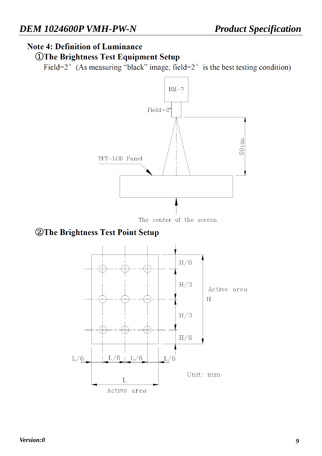### **Note 4: Definition of Luminance**

*OThe Brightness Test Equipment Setup* 

Field= $2^{\circ}$  (As measuring "black" image, field= $2^{\circ}$  is the best testing condition)



### **2 The Brightness Test Point Setup**

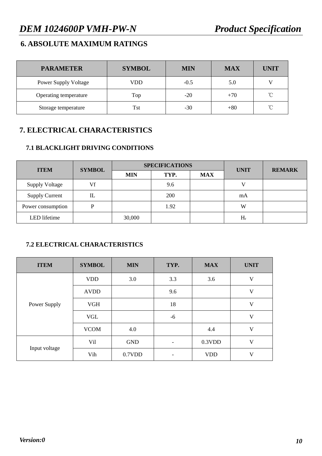#### **6. ABSOLUTE MAXIMUM RATINGS**

| <b>PARAMETER</b>            | <b>SYMBOL</b> | <b>MIN</b> | <b>MAX</b> | <b>UNIT</b>  |
|-----------------------------|---------------|------------|------------|--------------|
| <b>Power Supply Voltage</b> | VDD           | $-0.5$     | 5.0        |              |
| Operating temperature       | Top           | $-20$      | $+70$      | $^{\circ}$ C |
| Storage temperature         | Tst           | $-30$      | $+80$      | $^{\circ}$ C |

#### **7. ELECTRICAL CHARACTERISTICS**

#### **7.1 BLACKLIGHT DRIVING CONDITIONS**

| <b>ITEM</b>           | <b>SYMBOL</b> |            | <b>SPECIFICATIONS</b> | <b>UNIT</b> | <b>REMARK</b> |  |
|-----------------------|---------------|------------|-----------------------|-------------|---------------|--|
|                       |               | <b>MIN</b> | TYP.                  | <b>MAX</b>  |               |  |
| <b>Supply Voltage</b> | Vf            |            | 9.6                   |             | $\bf{V}$      |  |
| <b>Supply Current</b> |               |            | <b>200</b>            |             | mA            |  |
| Power consumption     |               |            | 1.92                  |             | W             |  |
| LED lifetime          |               | 30,000     |                       |             | $H_r$         |  |

#### **7.2 ELECTRICAL CHARACTERISTICS**

| <b>ITEM</b>   | <b>SYMBOL</b> | <b>MIN</b> | TYP.                         | <b>MAX</b> | <b>UNIT</b>             |
|---------------|---------------|------------|------------------------------|------------|-------------------------|
|               | <b>VDD</b>    | 3.0        | 3.3                          | 3.6        | $\overline{\mathsf{V}}$ |
|               | <b>AVDD</b>   |            | 9.6                          |            | V                       |
| Power Supply  | <b>VGH</b>    |            | 18                           |            | $\mathbf V$             |
|               | <b>VGL</b>    |            | -6                           |            | V                       |
|               | <b>VCOM</b>   | 4.0        |                              | 4.4        | V                       |
| Input voltage | Vil           | <b>GND</b> | $\qquad \qquad \blacksquare$ | $0.3$ VDD  | $\overline{V}$          |
|               | Vih           | 0.7VDD     | $\overline{\phantom{a}}$     | <b>VDD</b> | V                       |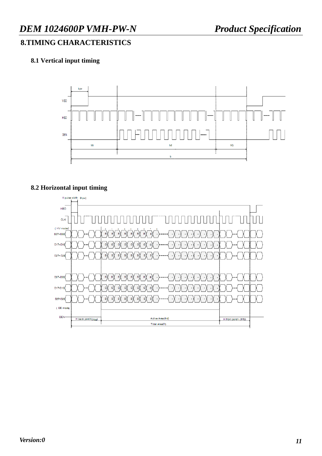### **8.TIMING CHARACTERISTICS**

#### **8.1 Vertical input timing**



#### **8.2 Horizontal input timing**

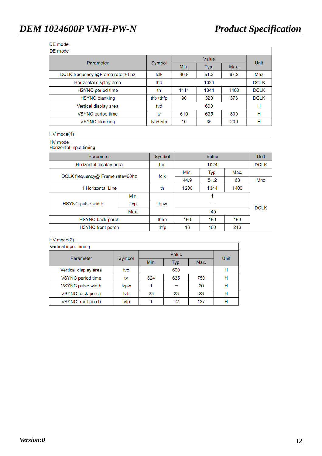#### DE mode

DE mode

| PL IIIVUG                       |          |      |      |      |             |  |
|---------------------------------|----------|------|------|------|-------------|--|
| Parameter                       | Symbol   |      | Unit |      |             |  |
|                                 |          | Min. | Typ. | Max. |             |  |
| DCLK frequency @Frame rate=60hz | fclk     | 40.8 | 51.2 | 67.2 | Mhz         |  |
| Horizontal display area         | thd      |      | 1024 |      | <b>DCLK</b> |  |
| <b>HSYNC</b> period time        | th       | 1114 | 1344 | 1400 | <b>DCLK</b> |  |
| <b>HSYNC blanking</b>           | thb+thfp | 90   | 320  | 376  | <b>DCLK</b> |  |
| Vertical display area           | tvd      |      | 600  |      | н           |  |
| VSYNC period time               | tv       | 610  | 635  | 800  | н           |  |
| <b>VSYNC blanking</b>           | tvb+tvfp | 10   | 35   | 200  | н           |  |

#### $HV mode(1)$

HV mode<br>Horizontal input timing

| <b>HUIZUIRAL INDUCTIONIU</b>    |      |        |       |      |      |             |
|---------------------------------|------|--------|-------|------|------|-------------|
| Parameter                       |      | Symbol | Value |      |      | <b>Unit</b> |
| Horizontal display area         |      | thd    |       | 1024 |      | <b>DCLK</b> |
| DCLK frequency@ Frame rate=60hz |      | fclk   | Min.  | Typ. | Max. |             |
|                                 |      |        | 44.9  | 51.2 | 63   | Mhz         |
| 1 Horizontal Line               |      | th     | 1200  | 1344 | 1400 |             |
|                                 | Min. |        |       | 1    |      |             |
| <b>HSYNC</b> pulse width        | Typ. | thpw   |       |      |      | <b>DCLK</b> |
|                                 | Max. |        |       | 140  |      |             |
| HSYNC back porch                |      | thbp   | 160   | 160  | 160  |             |
| HSYNC front porch               |      | thfp   | 16    | 160  | 216  |             |

#### $HV mode(2)$

| Vertical input timing |        |      |             |      |   |  |
|-----------------------|--------|------|-------------|------|---|--|
| Parameter             | Symbol |      | <b>Unit</b> |      |   |  |
|                       |        | Min. | Typ.        | Max. |   |  |
| Vertical display area | tvd    | 600  |             |      | н |  |
| VSYNC period time     | tv     | 624  | 635         | 750  | н |  |
| VSYNC pulse width     | tvpw   |      |             | 20   | н |  |
| VSYNC back porch      | tvb    | 23   | 23          | 23   | н |  |
| VSYNC front porch     | tvfp   |      | 12          | 127  | н |  |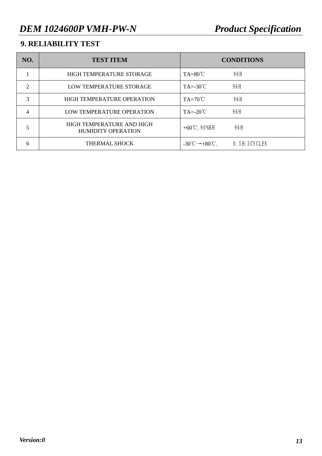### **9. RELIABILITY TEST**

| NO.            | <b>TEST ITEM</b>                                       | <b>CONDITIONS</b>                                       |                      |
|----------------|--------------------------------------------------------|---------------------------------------------------------|----------------------|
|                | <b>HIGH TEMPERATURE STORAGE</b>                        | $TA=80^{\circ}C$                                        | 96H                  |
| $\overline{2}$ | LOW TEMPERATURE STORAGE                                | $TA = -30^{\circ}C$                                     | 96H                  |
| 3              | <b>HIGH TEMPERATURE OPERATION</b>                      | $TA=70^{\circ}C$                                        | 96H                  |
| $\overline{4}$ | LOW TEMPERATURE OPERATION                              | $TA = -20^{\circ}C$                                     | 96H                  |
| 5              | HIGH TEMPERATURE AND HIGH<br><b>HUMIDITY OPERATION</b> | $+60^{\circ}$ C, 90%RH                                  | 96H                  |
| 6              | THERMAL SHOCK                                          | $-30^{\circ}\text{C} \rightarrow +80^{\circ}\text{C}$ , | <b>0.5H: 5CYCLES</b> |